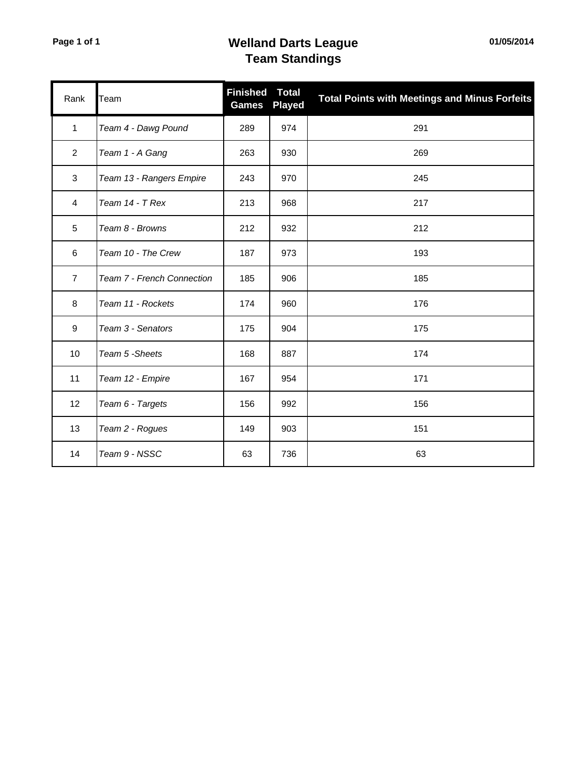## **Page 1 of 1 Welland Darts League Team Standings**

| Rank           | Team                       | <b>Finished</b><br><b>Games</b> | <b>Total</b><br><b>Played</b> | <b>Total Points with Meetings and Minus Forfeits</b> |
|----------------|----------------------------|---------------------------------|-------------------------------|------------------------------------------------------|
| $\mathbf{1}$   | Team 4 - Dawg Pound        | 289                             | 974                           | 291                                                  |
| $\overline{2}$ | Team 1 - A Gang            | 263                             | 930                           | 269                                                  |
| $\mathbf{3}$   | Team 13 - Rangers Empire   | 243                             | 970                           | 245                                                  |
| 4              | Team 14 - T Rex            | 213                             | 968                           | 217                                                  |
| 5              | Team 8 - Browns            | 212                             | 932                           | 212                                                  |
| 6              | Team 10 - The Crew         | 187                             | 973                           | 193                                                  |
| $\overline{7}$ | Team 7 - French Connection | 185                             | 906                           | 185                                                  |
| 8              | Team 11 - Rockets          | 174                             | 960                           | 176                                                  |
| 9              | Team 3 - Senators          | 175                             | 904                           | 175                                                  |
| 10             | Team 5 - Sheets            | 168                             | 887                           | 174                                                  |
| 11             | Team 12 - Empire           | 167                             | 954                           | 171                                                  |
| 12             | Team 6 - Targets           | 156                             | 992                           | 156                                                  |
| 13             | Team 2 - Rogues            | 149                             | 903                           | 151                                                  |
| 14             | Team 9 - NSSC              | 63                              | 736                           | 63                                                   |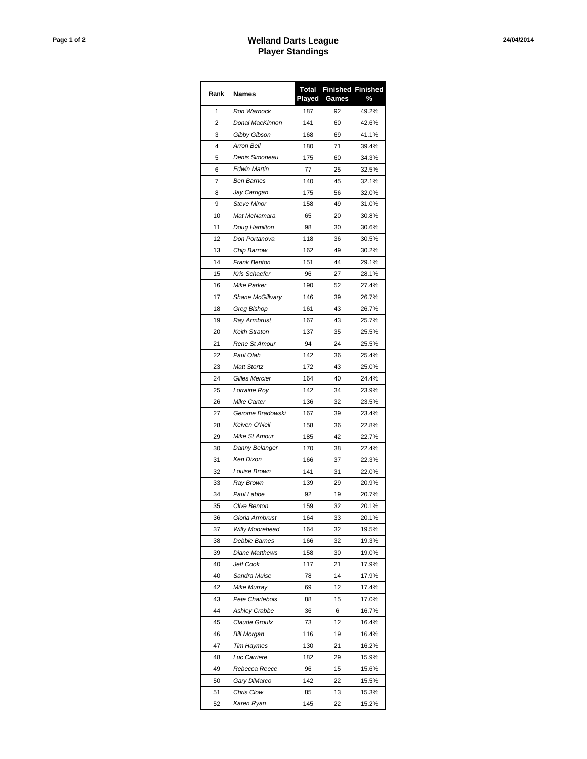## **Page 1 of 2 Welland Darts League Player Standings**

| Rank | <b>Names</b>          | Total<br>Played | Games | <b>Finished Finished</b><br>% |
|------|-----------------------|-----------------|-------|-------------------------------|
| 1    | Ron Warnock           | 187             | 92    | 49.2%                         |
| 2    | Donal MacKinnon       | 141             | 60    | 42.6%                         |
| 3    | Gibby Gibson          | 168             | 69    | 41.1%                         |
| 4    | Arron Bell            | 180             | 71    | 39.4%                         |
| 5    | Denis Simoneau        | 175             | 60    | 34.3%                         |
| 6    | Edwin Martin          | 77              | 25    | 32.5%                         |
| 7    | <b>Ben Barnes</b>     | 140             | 45    | 32.1%                         |
| 8    | Jay Carrigan          | 175             | 56    | 32.0%                         |
| 9    | <b>Steve Minor</b>    | 158             | 49    | 31.0%                         |
| 10   | Mat McNamara          | 65              | 20    | 30.8%                         |
| 11   | Doug Hamilton         | 98              | 30    | 30.6%                         |
| 12   | Don Portanova         | 118             | 36    | 30.5%                         |
| 13   | Chip Barrow           | 162             | 49    | 30.2%                         |
| 14   | <b>Frank Benton</b>   | 151             | 44    | 29.1%                         |
| 15   | Kris Schaefer         | 96              | 27    | 28.1%                         |
| 16   | Mike Parker           | 190             | 52    | 27.4%                         |
| 17   | Shane McGillvary      | 146             | 39    | 26.7%                         |
| 18   | Greg Bishop           | 161             | 43    | 26.7%                         |
| 19   | Ray Armbrust          | 167             | 43    | 25.7%                         |
| 20   | Keith Straton         | 137             | 35    | 25.5%                         |
| 21   | Rene St Amour         | 94              | 24    | 25.5%                         |
| 22   | Paul Olah             | 142             |       | 25.4%                         |
|      |                       |                 | 36    |                               |
| 23   | <b>Matt Stortz</b>    | 172             | 43    | 25.0%                         |
| 24   | <b>Gilles Mercier</b> | 164             | 40    | 24.4%                         |
| 25   | Lorraine Roy          | 142             | 34    | 23.9%                         |
| 26   | Mike Carter           | 136             | 32    | 23.5%                         |
| 27   | Gerome Bradowski      | 167             | 39    | 23.4%                         |
| 28   | Keiven O'Neil         | 158             | 36    | 22.8%                         |
| 29   | Mike St Amour         | 185             | 42    | 22.7%                         |
| 30   | Danny Belanger        | 170             | 38    | 22.4%                         |
| 31   | <b>Ken Dixon</b>      | 166             | 37    | 22.3%                         |
| 32   | Louise Brown          | 141             | 31    | 22.0%                         |
| 33   | Ray Brown             | 139             | 29    | 20.9%                         |
| 34   | Paul Labbe            | 92              | 19    | 20.7%                         |
| 35   | <b>Clive Benton</b>   | 159             | 32    | 20.1%                         |
| 36   | Gloria Armbrust       | 164             | 33    | 20.1%                         |
| 37   | Willy Moorehead       | 164             | 32    | 19.5%                         |
| 38   | Debbie Barnes         | 166             | 32    | 19.3%                         |
| 39   | Diane Matthews        | 158             | 30    | 19.0%                         |
| 40   | Jeff Cook             | 117             | 21    | 17.9%                         |
| 40   | Sandra Muise          | 78              | 14    | 17.9%                         |
| 42   | Mike Murray           | 69              | 12    | 17.4%                         |
| 43   | Pete Charlebois       | 88              | 15    | 17.0%                         |
| 44   | <b>Ashley Crabbe</b>  | 36              | 6     | 16.7%                         |
| 45   | Claude Groulx         | 73              | 12    | 16.4%                         |
| 46   | Bill Morgan           | 116             | 19    | 16.4%                         |
| 47   | <b>Tim Haymes</b>     | 130             | 21    | 16.2%                         |
| 48   | Luc Carriere          | 182             | 29    | 15.9%                         |
| 49   | Rebecca Reece         | 96              | 15    | 15.6%                         |
| 50   | Gary DiMarco          | 142             | 22    | 15.5%                         |
| 51   | Chris Clow            | 85              | 13    | 15.3%                         |
| 52   | Karen Ryan            | 145             | 22    | 15.2%                         |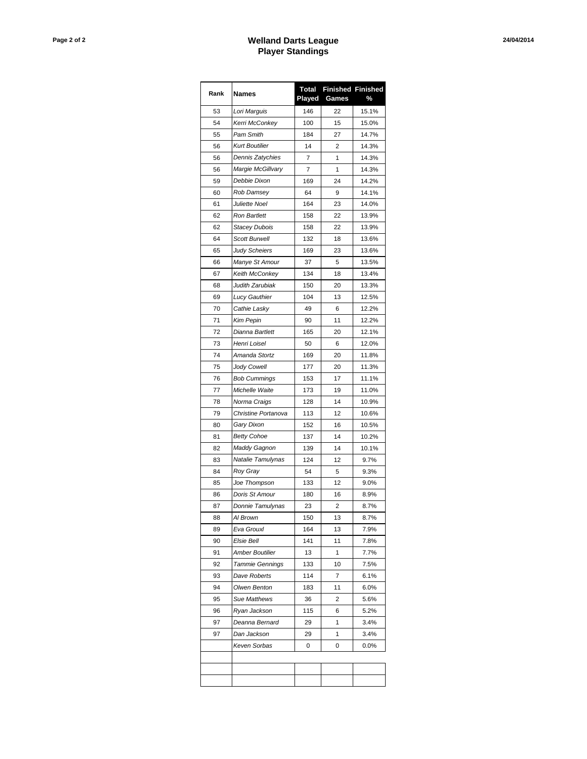## **Page 2 of 2 Welland Darts League Player Standings**

| Rank | <b>Names</b>           | Total<br>Played | Games | <b>Finished Finished</b><br>% |
|------|------------------------|-----------------|-------|-------------------------------|
| 53   | Lori Marguis           | 146             | 22    | 15.1%                         |
| 54   | Kerri McConkey         | 100             | 15    | 15.0%                         |
| 55   | Pam Smith              | 184             | 27    | 14.7%                         |
| 56   | <b>Kurt Boutilier</b>  | 14              | 2     | 14.3%                         |
| 56   | Dennis Zatychies       | 7               | 1     | 14.3%                         |
| 56   | Margie McGillvary      | 7               | 1     | 14.3%                         |
| 59   | Debbie Dixon           | 169             | 24    | 14.2%                         |
| 60   | Rob Damsey             | 64              | 9     | 14.1%                         |
| 61   | Juliette Noel          | 164             | 23    | 14.0%                         |
| 62   | Ron Bartlett           | 158             | 22    | 13.9%                         |
| 62   | <b>Stacey Dubois</b>   | 158             | 22    | 13.9%                         |
| 64   | <b>Scott Burwell</b>   | 132             | 18    | 13.6%                         |
| 65   | <b>Judy Scheiers</b>   | 169             | 23    | 13.6%                         |
| 66   | Manye St Amour         | 37              | 5     | 13.5%                         |
| 67   | Keith McConkey         | 134             | 18    | 13.4%                         |
| 68   | Judith Zarubiak        | 150             | 20    | 13.3%                         |
| 69   | Lucy Gauthier          | 104             | 13    | 12.5%                         |
| 70   | Cathie Lasky           | 49              | 6     | 12.2%                         |
| 71   | Kim Pepin              | 90              | 11    | 12.2%                         |
| 72   | Dianna Bartlett        | 165             | 20    | 12.1%                         |
| 73   | Henri Loisel           | 50              | 6     | 12.0%                         |
| 74   | Amanda Stortz          | 169             | 20    | 11.8%                         |
| 75   | Jody Cowell            | 177             | 20    | 11.3%                         |
| 76   | <b>Bob Cummings</b>    | 153             | 17    | 11.1%                         |
| 77   | Michelle Waite         | 173             | 19    | 11.0%                         |
| 78   | Norma Craigs           | 128             | 14    | 10.9%                         |
| 79   | Christine Portanova    | 113             | 12    | 10.6%                         |
| 80   | Gary Dixon             | 152             | 16    | 10.5%                         |
| 81   | <b>Betty Cohoe</b>     | 137             | 14    | 10.2%                         |
| 82   | Maddy Gagnon           | 139             | 14    | 10.1%                         |
| 83   | Natalie Tamulynas      | 124             | 12    | 9.7%                          |
| 84   | Roy Gray               | 54              | 5     | 9.3%                          |
| 85   | Joe Thompson           | 133             | 12    | 9.0%                          |
| 86   | Doris St Amour         | 180             | 16    | 8.9%                          |
| 87   | Donnie Tamulynas       | 23              | 2     | 8.7%                          |
| 88   | Al Brown               | 150             | 13    | 8.7%                          |
| 89   | Eva Grouxl             | 164             | 13    | 7.9%                          |
| 90   | Elsie Bell             | 141             | 11    | 7.8%                          |
| 91   | Amber Boutilier        | 13              | 1     | 7.7%                          |
| 92   | <b>Tammie Gennings</b> | 133             | 10    | 7.5%                          |
| 93   | Dave Roberts           | 114             | 7     | 6.1%                          |
| 94   | Olwen Benton           | 183             | 11    | 6.0%                          |
| 95   | Sue Matthews           | 36              | 2     | 5.6%                          |
| 96   | Ryan Jackson           | 115             | 6     | 5.2%                          |
| 97   | Deanna Bernard         | 29              | 1     | 3.4%                          |
| 97   | Dan Jackson            | 29              | 1     | 3.4%                          |
|      | Keven Sorbas           | 0               | 0     | $0.0\%$                       |
|      |                        |                 |       |                               |
|      |                        |                 |       |                               |
|      |                        |                 |       |                               |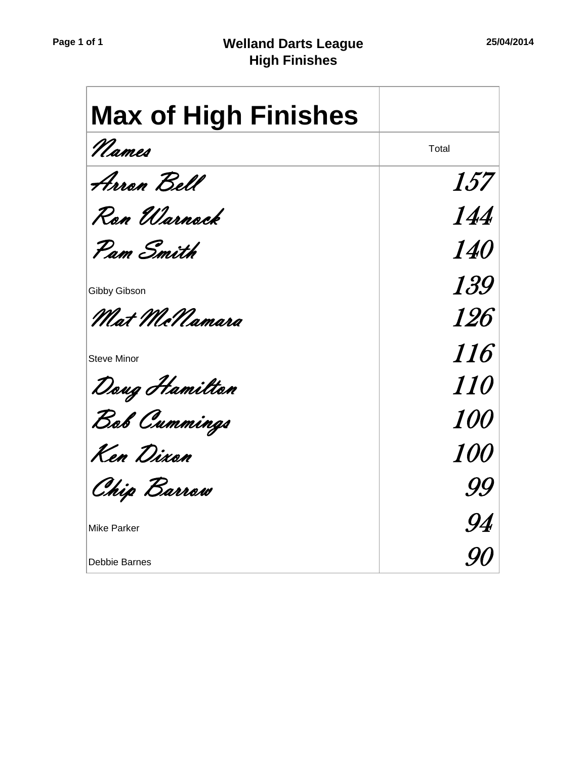| <b>Max of High Finishes</b> |            |
|-----------------------------|------------|
| Names                       | Total      |
| Arron Bell                  | <i>157</i> |
| Ron Warnock                 | 144        |
| Pam Smith                   | <i>140</i> |
| Gibby Gibson                | <i>139</i> |
| Mat McNamara                | <i>126</i> |
| <b>Steve Minor</b>          | <i>116</i> |
| Dong Hamilton               | <i>110</i> |
| Bob Cummings                | <i>100</i> |
| Ken Dixon                   | <i>100</i> |
| Chip Barrow                 | 99         |
| <b>Mike Parker</b>          | .94        |
| Debbie Barnes               |            |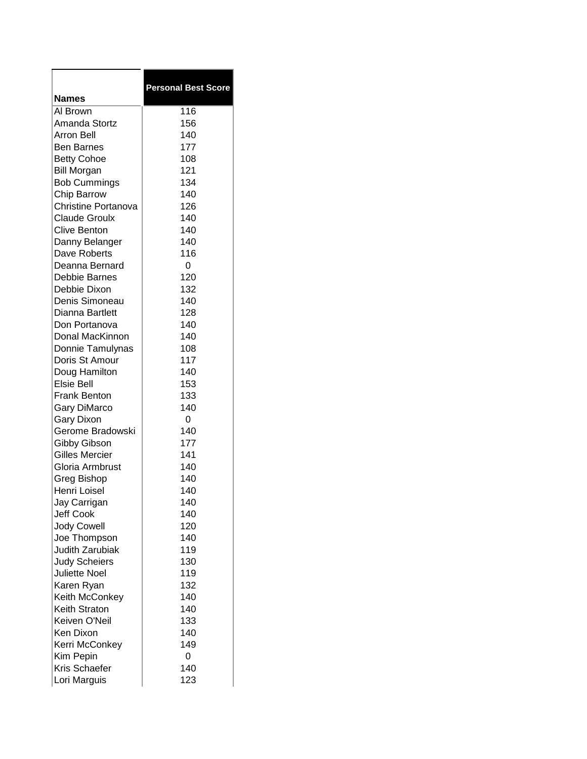|                      | <b>Personal Best Score</b> |
|----------------------|----------------------------|
| <b>Names</b>         |                            |
| Al Brown             | 116                        |
| Amanda Stortz        | 156                        |
| <b>Arron Bell</b>    | 140                        |
| <b>Ben Barnes</b>    | 177                        |
| <b>Betty Cohoe</b>   | 108                        |
| <b>Bill Morgan</b>   | 121                        |
| <b>Bob Cummings</b>  | 134                        |
| Chip Barrow          | 140                        |
| Christine Portanova  | 126                        |
| <b>Claude Groulx</b> | 140                        |
| Clive Benton         | 140                        |
| Danny Belanger       | 140                        |
| Dave Roberts         | 116                        |
| Deanna Bernard       | 0                          |
| Debbie Barnes        | 120                        |
| Debbie Dixon         | 132                        |
| Denis Simoneau       | 140                        |
| Dianna Bartlett      | 128                        |
| Don Portanova        | 140                        |
| Donal MacKinnon      | 140                        |
| Donnie Tamulynas     | 108                        |
| Doris St Amour       | 117                        |
| Doug Hamilton        | 140                        |
| <b>Elsie Bell</b>    | 153                        |
| <b>Frank Benton</b>  | 133                        |
| <b>Gary DiMarco</b>  | 140                        |
| <b>Gary Dixon</b>    | 0                          |
| Gerome Bradowski     | 140                        |
| Gibby Gibson         | 177                        |
| Gilles Mercier       | 141                        |
| Gloria Armbrust      | 140                        |
| Greg Bishop          | 140                        |
| Henri Loisel         | 140                        |
| Jay Carrigan         | 140                        |
| <b>Jeff Cook</b>     | 140                        |
| <b>Jody Cowell</b>   | 120                        |
| Joe Thompson         | 140                        |
| Judith Zarubiak      | 119                        |
| <b>Judy Scheiers</b> | 130                        |
| <b>Juliette Noel</b> | 119                        |
| Karen Ryan           | 132                        |
| Keith McConkey       | 140                        |
| Keith Straton        | 140                        |
| Keiven O'Neil        | 133                        |
| Ken Dixon            | 140                        |
| Kerri McConkey       | 149                        |
| Kim Pepin            | 0                          |
| Kris Schaefer        | 140                        |
| Lori Marguis         | 123                        |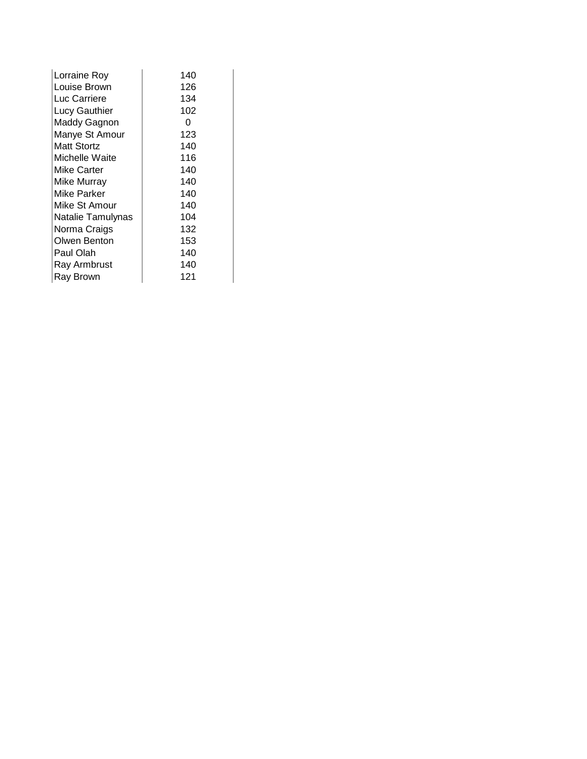| Lorraine Rov      | 140 |
|-------------------|-----|
| Louise Brown      | 126 |
| Luc Carriere      | 134 |
| Lucy Gauthier     | 102 |
| Maddy Gagnon      | 0   |
| Manye St Amour    | 123 |
| Matt Stortz       | 140 |
| Michelle Waite    | 116 |
| Mike Carter       | 140 |
| Mike Murrav       | 140 |
| Mike Parker       | 140 |
| Mike St Amour     | 140 |
| Natalie Tamulynas | 104 |
| Norma Craigs      | 132 |
| Olwen Benton      | 153 |
| Paul Olah         | 140 |
| Ray Armbrust      | 140 |
| Ray Brown         | 121 |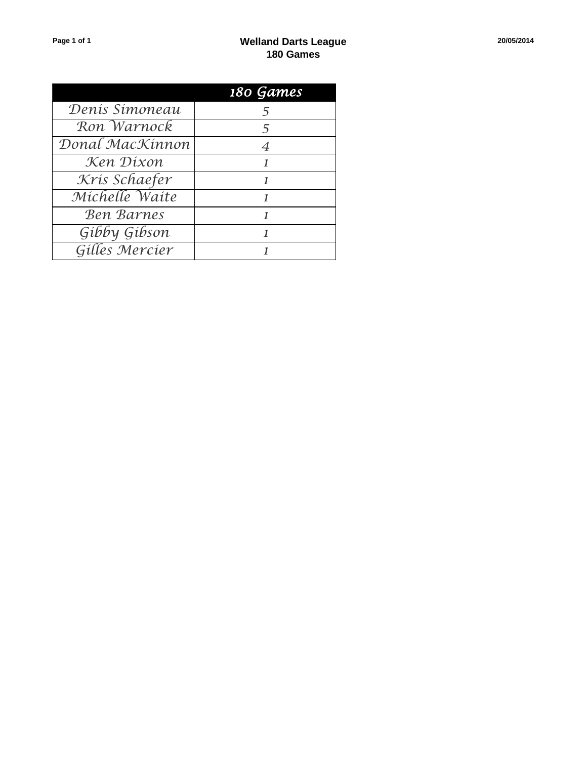|                   | 180 Games |
|-------------------|-----------|
| Denis Simoneau    | 5         |
| Ron Warnock       | 5         |
| Donal MacKinnon   | 4         |
| Ken Dixon         |           |
| Kris Schaefer     |           |
| Michelle Waite    |           |
| <b>Ben Barnes</b> |           |
| Gibby Gibson      |           |
| Gilles Mercier    |           |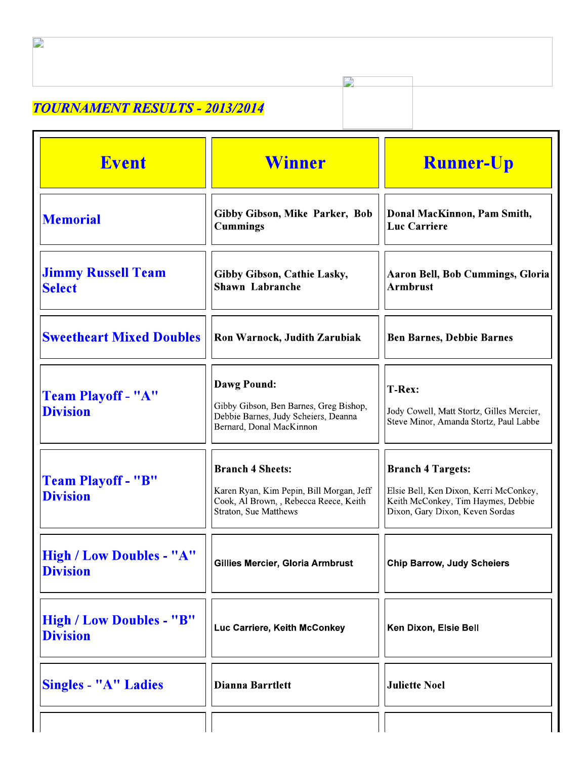## **TOURNAMENT RESULTS - 2013/2014**

| <b>Event</b>                                       | <b>Winner</b>                                                                                                                                 | <b>Runner-Up</b>                                                                                                                            |
|----------------------------------------------------|-----------------------------------------------------------------------------------------------------------------------------------------------|---------------------------------------------------------------------------------------------------------------------------------------------|
| <b>Memorial</b>                                    | Gibby Gibson, Mike Parker, Bob<br><b>Cummings</b>                                                                                             | Donal MacKinnon, Pam Smith,<br><b>Luc Carriere</b>                                                                                          |
| <b>Jimmy Russell Team</b><br><b>Select</b>         | <b>Gibby Gibson, Cathie Lasky,</b><br><b>Shawn Labranche</b>                                                                                  | <b>Aaron Bell, Bob Cummings, Gloria</b><br><b>Armbrust</b>                                                                                  |
| <b>Sweetheart Mixed Doubles</b>                    | Ron Warnock, Judith Zarubiak                                                                                                                  | <b>Ben Barnes, Debbie Barnes</b>                                                                                                            |
| <b>Team Playoff - "A"</b><br><b>Division</b>       | <b>Dawg Pound:</b><br>Gibby Gibson, Ben Barnes, Greg Bishop,<br>Debbie Barnes, Judy Scheiers, Deanna<br>Bernard, Donal MacKinnon              | T-Rex:<br>Jody Cowell, Matt Stortz, Gilles Mercier,<br>Steve Minor, Amanda Stortz, Paul Labbe                                               |
| Team Playoff - "B"<br><b>Division</b>              | <b>Branch 4 Sheets:</b><br>Karen Ryan, Kim Pepin, Bill Morgan, Jeff<br>Cook, Al Brown, , Rebecca Reece, Keith<br><b>Straton, Sue Matthews</b> | <b>Branch 4 Targets:</b><br>Elsie Bell, Ken Dixon, Kerri McConkey,<br>Keith McConkey, Tim Haymes, Debbie<br>Dixon, Gary Dixon, Keven Sordas |
| <b>High / Low Doubles - "A"</b><br><b>Division</b> | Gillies Mercier, Gloria Armbrust                                                                                                              | <b>Chip Barrow, Judy Scheiers</b>                                                                                                           |
| <b>High / Low Doubles - "B"</b><br><b>Division</b> | Luc Carriere, Keith McConkey                                                                                                                  | Ken Dixon, Elsie Bell                                                                                                                       |
| Singles - "A" Ladies                               | <b>Dianna Barrtlett</b>                                                                                                                       | <b>Juliette Noel</b>                                                                                                                        |
|                                                    |                                                                                                                                               |                                                                                                                                             |

 $\frac{1}{2}$